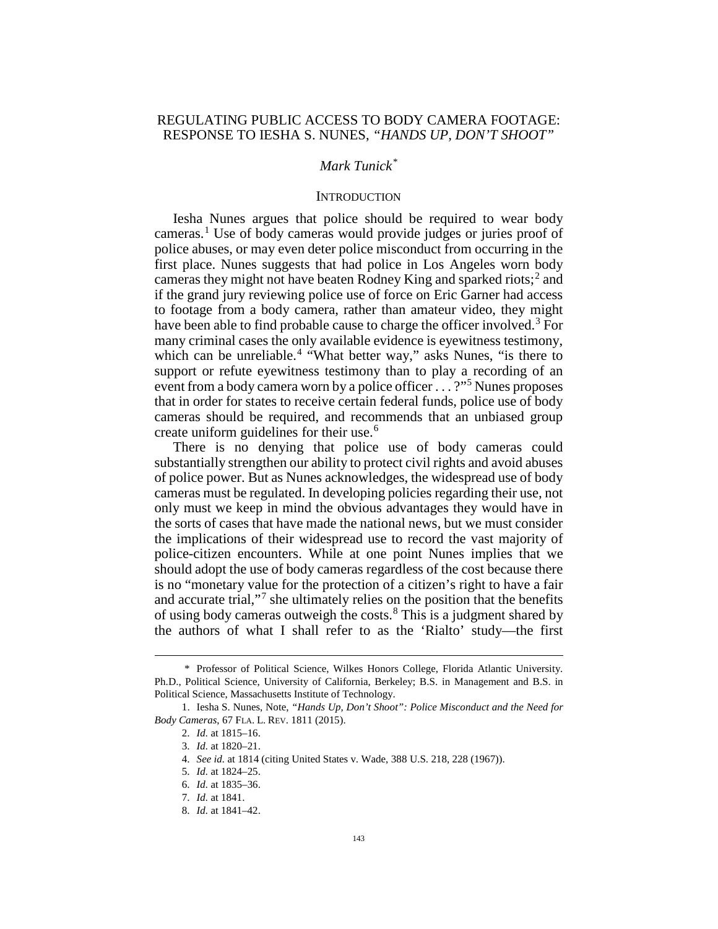# REGULATING PUBLIC ACCESS TO BODY CAMERA FOOTAGE: RESPONSE TO IESHA S. NUNES, *"HANDS UP, DON'T SHOOT"*

## *Mark Tunick[\\*](#page-0-0)*

### **INTRODUCTION**

<span id="page-0-9"></span>Iesha Nunes argues that police should be required to wear body cameras.[1](#page-0-1) Use of body cameras would provide judges or juries proof of police abuses, or may even deter police misconduct from occurring in the first place. Nunes suggests that had police in Los Angeles worn body cameras they might not have beaten Rodney King and sparked riots;<sup>[2](#page-0-2)</sup> and if the grand jury reviewing police use of force on Eric Garner had access to footage from a body camera, rather than amateur video, they might have been able to find probable cause to charge the officer involved.<sup>[3](#page-0-3)</sup> For many criminal cases the only available evidence is eyewitness testimony, which can be unreliable.<sup>[4](#page-0-4)</sup> "What better way," asks Nunes, "is there to support or refute eyewitness testimony than to play a recording of an event from a body camera worn by a police officer . . . ?"<sup>[5](#page-0-5)</sup> Nunes proposes that in order for states to receive certain federal funds, police use of body cameras should be required, and recommends that an unbiased group create uniform guidelines for their use.<sup>[6](#page-0-6)</sup>

There is no denying that police use of body cameras could substantially strengthen our ability to protect civil rights and avoid abuses of police power. But as Nunes acknowledges, the widespread use of body cameras must be regulated. In developing policies regarding their use, not only must we keep in mind the obvious advantages they would have in the sorts of cases that have made the national news, but we must consider the implications of their widespread use to record the vast majority of police-citizen encounters. While at one point Nunes implies that we should adopt the use of body cameras regardless of the cost because there is no "monetary value for the protection of a citizen's right to have a fair and accurate trial,"[7](#page-0-7) she ultimately relies on the position that the benefits of using body cameras outweigh the costs.[8](#page-0-8) This is a judgment shared by the authors of what I shall refer to as the 'Rialto' study—the first

<span id="page-0-0"></span> <sup>\*</sup> Professor of Political Science, Wilkes Honors College, Florida Atlantic University. Ph.D., Political Science, University of California, Berkeley; B.S. in Management and B.S. in Political Science, Massachusetts Institute of Technology.

<span id="page-0-7"></span><span id="page-0-6"></span><span id="page-0-5"></span><span id="page-0-4"></span><span id="page-0-3"></span><span id="page-0-2"></span><span id="page-0-1"></span><sup>1.</sup> Iesha S. Nunes, Note, *"Hands Up, Don't Shoot": Police Misconduct and the Need for Body Cameras*, 67 FLA. L. REV. 1811 (2015).

<sup>2.</sup> *Id.* at 1815–16.

<sup>3.</sup> *Id.* at 1820–21.

<sup>4.</sup> *See id.* at 1814 (citing United States v. Wade, 388 U.S. 218, 228 (1967)).

<sup>5.</sup> *Id.* at 1824–25.

<sup>6.</sup> *Id.* at 1835–36.

<sup>7.</sup> *Id.* at 1841.

<span id="page-0-8"></span><sup>8.</sup> *Id.* at 1841–42.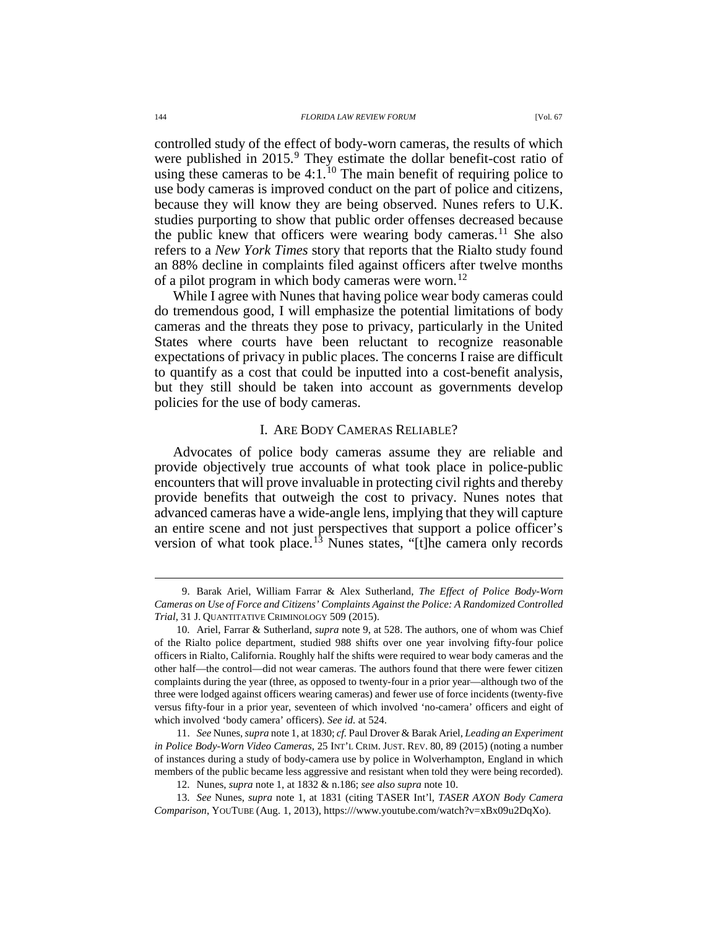<span id="page-1-1"></span><span id="page-1-0"></span>controlled study of the effect of body-worn cameras, the results of which were published in 2015.<sup>[9](#page-1-2)</sup> They estimate the dollar benefit-cost ratio of using these cameras to be  $4:1.^{10}$  $4:1.^{10}$  $4:1.^{10}$  The main benefit of requiring police to use body cameras is improved conduct on the part of police and citizens, because they will know they are being observed. Nunes refers to U.K. studies purporting to show that public order offenses decreased because the public knew that officers were wearing body cameras.<sup>[11](#page-1-4)</sup> She also refers to a *New York Times* story that reports that the Rialto study found an 88% decline in complaints filed against officers after twelve months of a pilot program in which body cameras were worn.<sup>[12](#page-1-5)</sup>

While I agree with Nunes that having police wear body cameras could do tremendous good, I will emphasize the potential limitations of body cameras and the threats they pose to privacy, particularly in the United States where courts have been reluctant to recognize reasonable expectations of privacy in public places. The concerns I raise are difficult to quantify as a cost that could be inputted into a cost-benefit analysis, but they still should be taken into account as governments develop policies for the use of body cameras.

#### <span id="page-1-7"></span>I. ARE BODY CAMERAS RELIABLE?

Advocates of police body cameras assume they are reliable and provide objectively true accounts of what took place in police-public encounters that will prove invaluable in protecting civil rights and thereby provide benefits that outweigh the cost to privacy. Nunes notes that advanced cameras have a wide-angle lens, implying that they will capture an entire scene and not just perspectives that support a police officer's version of what took place.<sup>[13](#page-1-6)</sup> Nunes states, "[t]he camera only records

<span id="page-1-2"></span> <sup>9.</sup> Barak Ariel, William Farrar & Alex Sutherland, *The Effect of Police Body-Worn Cameras on Use of Force and Citizens' Complaints Against the Police: A Randomized Controlled Trial*, 31 J. QUANTITATIVE CRIMINOLOGY 509 (2015).

<span id="page-1-3"></span><sup>10.</sup> Ariel, Farrar & Sutherland, *supra* not[e 9,](#page-1-0) at 528. The authors, one of whom was Chief of the Rialto police department, studied 988 shifts over one year involving fifty-four police officers in Rialto, California. Roughly half the shifts were required to wear body cameras and the other half—the control—did not wear cameras. The authors found that there were fewer citizen complaints during the year (three, as opposed to twenty-four in a prior year—although two of the three were lodged against officers wearing cameras) and fewer use of force incidents (twenty-five versus fifty-four in a prior year, seventeen of which involved 'no-camera' officers and eight of which involved 'body camera' officers). *See id.* at 524.

<span id="page-1-4"></span><sup>11.</sup> *See* Nunes, *supra* not[e 1,](#page-0-9) at 1830; *cf.* Paul Drover & Barak Ariel, *Leading an Experiment in Police Body-Worn Video Cameras*, 25 INT'L CRIM. JUST. REV. 80, 89 (2015) (noting a number of instances during a study of body-camera use by police in Wolverhampton, England in which members of the public became less aggressive and resistant when told they were being recorded).

<sup>12.</sup> Nunes, *supra* not[e 1,](#page-0-9) at 1832 & n.186; *see also supra* not[e 10.](#page-1-1)

<span id="page-1-6"></span><span id="page-1-5"></span><sup>13.</sup> *See* Nunes, *supra* note [1,](#page-0-9) at 1831 (citing TASER Int'l, *TASER AXON Body Camera Comparison*, YOUTUBE (Aug. 1, 2013), https:///www.youtube.com/watch?v=xBx09u2DqXo).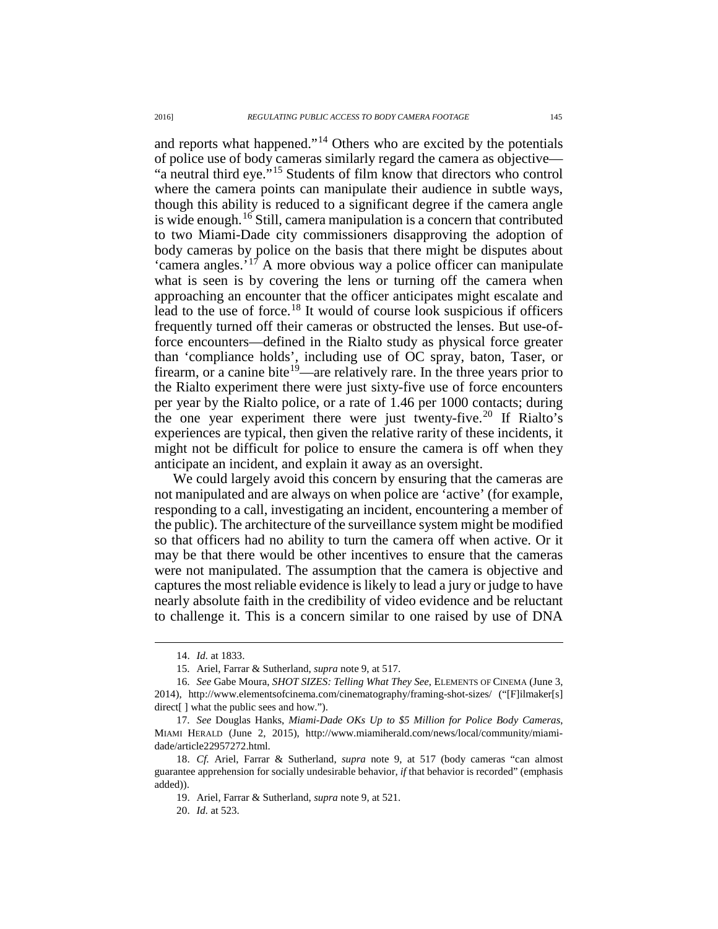and reports what happened."[14](#page-2-0) Others who are excited by the potentials of police use of body cameras similarly regard the camera as objective— "a neutral third eye."[15](#page-2-1) Students of film know that directors who control where the camera points can manipulate their audience in subtle ways, though this ability is reduced to a significant degree if the camera angle is wide enough.<sup>[16](#page-2-2)</sup> Still, camera manipulation is a concern that contributed to two Miami-Dade city commissioners disapproving the adoption of body cameras by police on the basis that there might be disputes about 'camera angles.<sup>'[17](#page-2-3)</sup> A more obvious way a police officer can manipulate what is seen is by covering the lens or turning off the camera when approaching an encounter that the officer anticipates might escalate and lead to the use of force.<sup>[18](#page-2-4)</sup> It would of course look suspicious if officers frequently turned off their cameras or obstructed the lenses. But use-offorce encounters—defined in the Rialto study as physical force greater than 'compliance holds', including use of OC spray, baton, Taser, or firearm, or a canine bite<sup>19</sup>—are relatively rare. In the three years prior to the Rialto experiment there were just sixty-five use of force encounters per year by the Rialto police, or a rate of 1.46 per 1000 contacts; during the one year experiment there were just twenty-five.<sup>[20](#page-2-6)</sup> If Rialto's experiences are typical, then given the relative rarity of these incidents, it might not be difficult for police to ensure the camera is off when they anticipate an incident, and explain it away as an oversight.

We could largely avoid this concern by ensuring that the cameras are not manipulated and are always on when police are 'active' (for example, responding to a call, investigating an incident, encountering a member of the public). The architecture of the surveillance system might be modified so that officers had no ability to turn the camera off when active. Or it may be that there would be other incentives to ensure that the cameras were not manipulated. The assumption that the camera is objective and captures the most reliable evidence is likely to lead a jury or judge to have nearly absolute faith in the credibility of video evidence and be reluctant to challenge it. This is a concern similar to one raised by use of DNA

 <sup>14.</sup> *Id.* at 1833.

<sup>15.</sup> Ariel, Farrar & Sutherland, *supra* note [9,](#page-1-0) at 517.

<span id="page-2-2"></span><span id="page-2-1"></span><span id="page-2-0"></span><sup>16.</sup> *See* Gabe Moura, *SHOT SIZES: Telling What They See*, ELEMENTS OF CINEMA (June 3, 2014), http://www.elementsofcinema.com/cinematography/framing-shot-sizes/ ("[F]ilmaker[s] direct[] what the public sees and how.").

<span id="page-2-3"></span><sup>17.</sup> *See* Douglas Hanks, *Miami-Dade OKs Up to \$5 Million for Police Body Cameras*, MIAMI HERALD (June 2, 2015), http://www.miamiherald.com/news/local/community/miamidade/article22957272.html.

<span id="page-2-6"></span><span id="page-2-5"></span><span id="page-2-4"></span><sup>18.</sup> *Cf.* Ariel, Farrar & Sutherland, *supra* note [9,](#page-1-0) at 517 (body cameras "can almost guarantee apprehension for socially undesirable behavior, *if* that behavior is recorded" (emphasis added)).

<sup>19.</sup> Ariel, Farrar & Sutherland, *supra* note [9,](#page-1-0) at 521.

<sup>20.</sup> *Id.* at 523.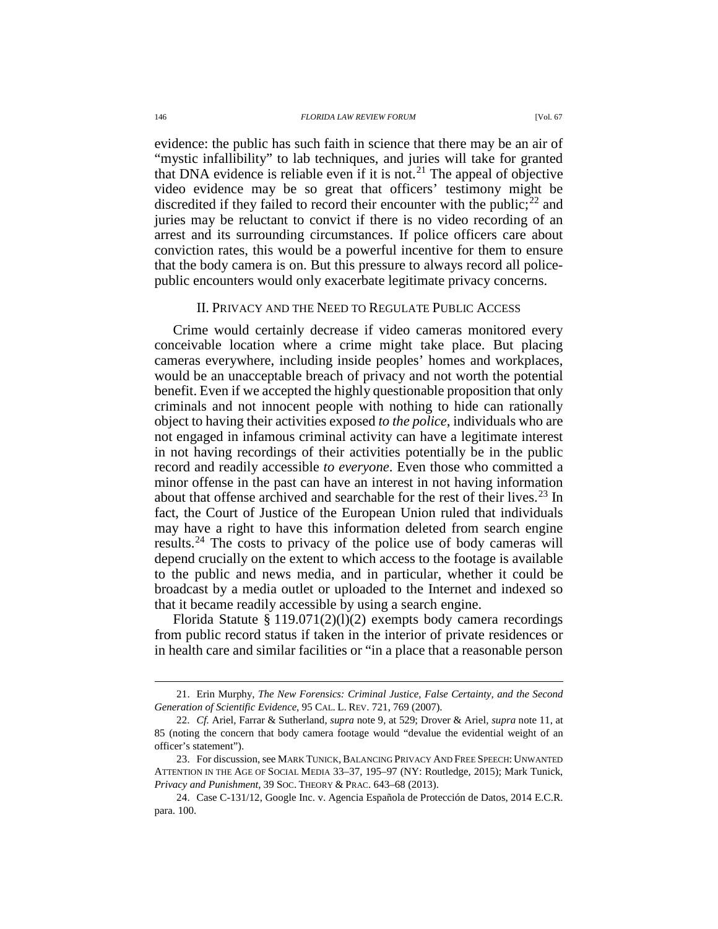evidence: the public has such faith in science that there may be an air of "mystic infallibility" to lab techniques, and juries will take for granted that DNA evidence is reliable even if it is not.<sup>[21](#page-3-0)</sup> The appeal of objective video evidence may be so great that officers' testimony might be discredited if they failed to record their encounter with the public;<sup>[22](#page-3-1)</sup> and juries may be reluctant to convict if there is no video recording of an arrest and its surrounding circumstances. If police officers care about conviction rates, this would be a powerful incentive for them to ensure that the body camera is on. But this pressure to always record all policepublic encounters would only exacerbate legitimate privacy concerns.

### <span id="page-3-4"></span>II. PRIVACY AND THE NEED TO REGULATE PUBLIC ACCESS

Crime would certainly decrease if video cameras monitored every conceivable location where a crime might take place. But placing cameras everywhere, including inside peoples' homes and workplaces, would be an unacceptable breach of privacy and not worth the potential benefit. Even if we accepted the highly questionable proposition that only criminals and not innocent people with nothing to hide can rationally object to having their activities exposed *to the police*, individuals who are not engaged in infamous criminal activity can have a legitimate interest in not having recordings of their activities potentially be in the public record and readily accessible *to everyone*. Even those who committed a minor offense in the past can have an interest in not having information about that offense archived and searchable for the rest of their lives.<sup>[23](#page-3-2)</sup> In fact, the Court of Justice of the European Union ruled that individuals may have a right to have this information deleted from search engine results.<sup>[24](#page-3-3)</sup> The costs to privacy of the police use of body cameras will depend crucially on the extent to which access to the footage is available to the public and news media, and in particular, whether it could be broadcast by a media outlet or uploaded to the Internet and indexed so that it became readily accessible by using a search engine.

Florida Statute § 119.071(2)(1)(2) exempts body camera recordings from public record status if taken in the interior of private residences or in health care and similar facilities or "in a place that a reasonable person

<span id="page-3-0"></span> <sup>21.</sup> Erin Murphy, *The New Forensics: Criminal Justice, False Certainty, and the Second Generation of Scientific Evidence*, 95 CAL. L. REV. 721, 769 (2007).

<span id="page-3-1"></span><sup>22.</sup> *Cf.* Ariel, Farrar & Sutherland, *supra* note [9,](#page-1-0) at 529; Drover & Ariel, *supra* note [11,](#page-1-7) at 85 (noting the concern that body camera footage would "devalue the evidential weight of an officer's statement").

<span id="page-3-2"></span><sup>23.</sup> For discussion, see MARK TUNICK,BALANCING PRIVACY AND FREE SPEECH: UNWANTED ATTENTION IN THE AGE OF SOCIAL MEDIA 33–37, 195–97 (NY: Routledge, 2015); Mark Tunick, *Privacy and Punishment*, 39 SOC. THEORY & PRAC. 643–68 (2013).

<span id="page-3-3"></span><sup>24.</sup> Case C-131/12, Google Inc. v. Agencia Española de Protección de Datos, 2014 E.C.R. para. 100.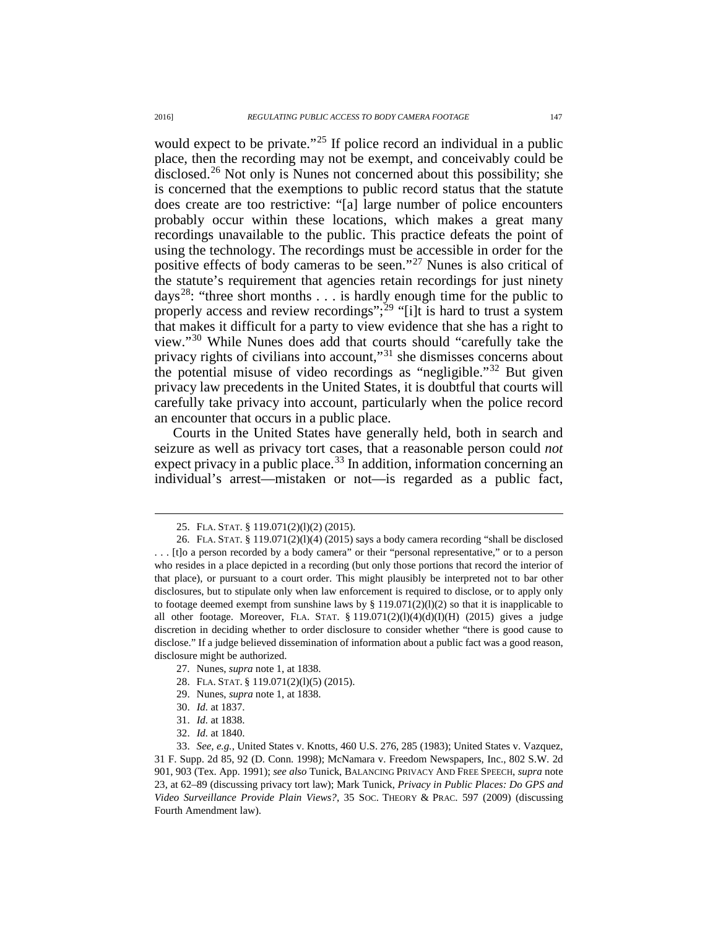would expect to be private."<sup>[25](#page-4-0)</sup> If police record an individual in a public place, then the recording may not be exempt, and conceivably could be disclosed.<sup>[26](#page-4-1)</sup> Not only is Nunes not concerned about this possibility; she is concerned that the exemptions to public record status that the statute does create are too restrictive: "[a] large number of police encounters probably occur within these locations, which makes a great many recordings unavailable to the public. This practice defeats the point of using the technology. The recordings must be accessible in order for the positive effects of body cameras to be seen."[27](#page-4-2) Nunes is also critical of the statute's requirement that agencies retain recordings for just ninety days<sup>[28](#page-4-3)</sup>: "three short months . . . is hardly enough time for the public to properly access and review recordings";<sup>[29](#page-4-4)</sup> "[i]t is hard to trust a system that makes it difficult for a party to view evidence that she has a right to view."[30](#page-4-5) While Nunes does add that courts should "carefully take the privacy rights of civilians into account,"<sup>[31](#page-4-6)</sup> she dismisses concerns about the potential misuse of video recordings as "negligible."[32](#page-4-7) But given privacy law precedents in the United States, it is doubtful that courts will carefully take privacy into account, particularly when the police record an encounter that occurs in a public place.

Courts in the United States have generally held, both in search and seizure as well as privacy tort cases, that a reasonable person could *not* expect privacy in a public place.<sup>[33](#page-4-8)</sup> In addition, information concerning an individual's arrest—mistaken or not—is regarded as a public fact,

 <sup>25.</sup> FLA. STAT. § 119.071(2)(l)(2) (2015).

<span id="page-4-1"></span><span id="page-4-0"></span><sup>26.</sup> FLA. STAT. § 119.071(2)(l)(4) (2015) says a body camera recording "shall be disclosed . . . [t]o a person recorded by a body camera" or their "personal representative," or to a person who resides in a place depicted in a recording (but only those portions that record the interior of that place), or pursuant to a court order. This might plausibly be interpreted not to bar other disclosures, but to stipulate only when law enforcement is required to disclose, or to apply only to footage deemed exempt from sunshine laws by  $\S 119.071(2)(l)(2)$  so that it is inapplicable to all other footage. Moreover, FLA. STAT. § 119.071(2)(l)(4)(d)(I)(H) (2015) gives a judge discretion in deciding whether to order disclosure to consider whether "there is good cause to disclose." If a judge believed dissemination of information about a public fact was a good reason, disclosure might be authorized.

<sup>27.</sup> Nunes, *supra* not[e 1,](#page-0-9) at 1838.

<sup>28.</sup> FLA. STAT. § 119.071(2)(l)(5) (2015).

<sup>29.</sup> Nunes, *supra* not[e 1,](#page-0-9) at 1838.

<sup>30.</sup> *Id.* at 1837.

<sup>31.</sup> *Id.* at 1838.

<sup>32.</sup> *Id.* at 1840.

<span id="page-4-8"></span><span id="page-4-7"></span><span id="page-4-6"></span><span id="page-4-5"></span><span id="page-4-4"></span><span id="page-4-3"></span><span id="page-4-2"></span><sup>33.</sup> *See, e.g.*, United States v. Knotts, 460 U.S. 276, 285 (1983); United States v. Vazquez, 31 F. Supp. 2d 85, 92 (D. Conn. 1998); McNamara v. Freedom Newspapers, Inc., 802 S.W. 2d 901, 903 (Tex. App. 1991); *see also* Tunick, BALANCING PRIVACY AND FREE SPEECH, *supra* note [23,](#page-3-4) at 62–89 (discussing privacy tort law); Mark Tunick, *Privacy in Public Places: Do GPS and Video Surveillance Provide Plain Views?*, 35 SOC. THEORY & PRAC. 597 (2009) (discussing Fourth Amendment law).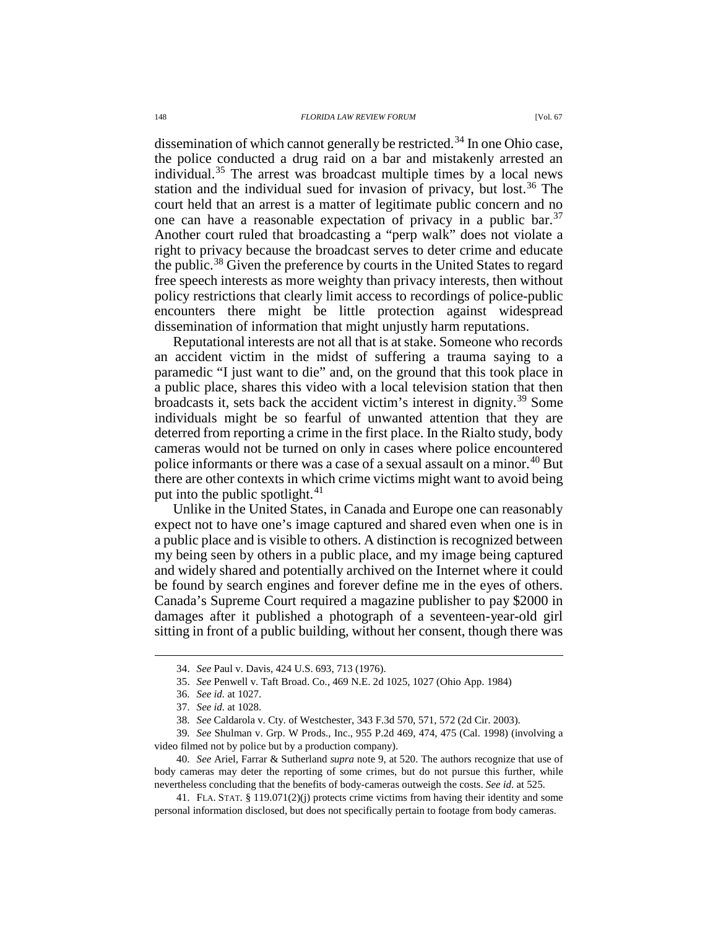dissemination of which cannot generally be restricted.<sup>[34](#page-5-0)</sup> In one Ohio case, the police conducted a drug raid on a bar and mistakenly arrested an individual.<sup>[35](#page-5-1)</sup> The arrest was broadcast multiple times by a local news station and the individual sued for invasion of privacy, but lost.<sup>[36](#page-5-2)</sup> The court held that an arrest is a matter of legitimate public concern and no one can have a reasonable expectation of privacy in a public bar.<sup>[37](#page-5-3)</sup> Another court ruled that broadcasting a "perp walk" does not violate a right to privacy because the broadcast serves to deter crime and educate the public.<sup>[38](#page-5-4)</sup> Given the preference by courts in the United States to regard free speech interests as more weighty than privacy interests, then without policy restrictions that clearly limit access to recordings of police-public encounters there might be little protection against widespread dissemination of information that might unjustly harm reputations.

Reputational interests are not all that is at stake. Someone who records an accident victim in the midst of suffering a trauma saying to a paramedic "I just want to die" and, on the ground that this took place in a public place, shares this video with a local television station that then broadcasts it, sets back the accident victim's interest in dignity.[39](#page-5-5) Some individuals might be so fearful of unwanted attention that they are deterred from reporting a crime in the first place. In the Rialto study, body cameras would not be turned on only in cases where police encountered police informants or there was a case of a sexual assault on a minor.<sup>[40](#page-5-6)</sup> But there are other contexts in which crime victims might want to avoid being put into the public spotlight. $41$ 

Unlike in the United States, in Canada and Europe one can reasonably expect not to have one's image captured and shared even when one is in a public place and is visible to others. A distinction is recognized between my being seen by others in a public place, and my image being captured and widely shared and potentially archived on the Internet where it could be found by search engines and forever define me in the eyes of others. Canada's Supreme Court required a magazine publisher to pay \$2000 in damages after it published a photograph of a seventeen-year-old girl sitting in front of a public building, without her consent, though there was

<span id="page-5-6"></span>40. *See* Ariel, Farrar & Sutherland *supra* note [9,](#page-1-0) at 520. The authors recognize that use of body cameras may deter the reporting of some crimes, but do not pursue this further, while nevertheless concluding that the benefits of body-cameras outweigh the costs. *See id.* at 525.

<span id="page-5-7"></span>41. FLA. STAT. § 119.071(2)(j) protects crime victims from having their identity and some personal information disclosed, but does not specifically pertain to footage from body cameras.

 <sup>34.</sup> *See* Paul v. Davis, 424 U.S. 693, 713 (1976).

<sup>35.</sup> *See* Penwell v. Taft Broad. Co., 469 N.E. 2d 1025, 1027 (Ohio App. 1984)

<sup>36.</sup> *See id.* at 1027.

<sup>37.</sup> *See id.* at 1028.

<sup>38.</sup> *See* Caldarola v. Cty. of Westchester, 343 F.3d 570, 571, 572 (2d Cir. 2003).

<span id="page-5-5"></span><span id="page-5-4"></span><span id="page-5-3"></span><span id="page-5-2"></span><span id="page-5-1"></span><span id="page-5-0"></span><sup>39.</sup> *See* Shulman v. Grp. W Prods., Inc., 955 P.2d 469, 474, 475 (Cal. 1998) (involving a video filmed not by police but by a production company).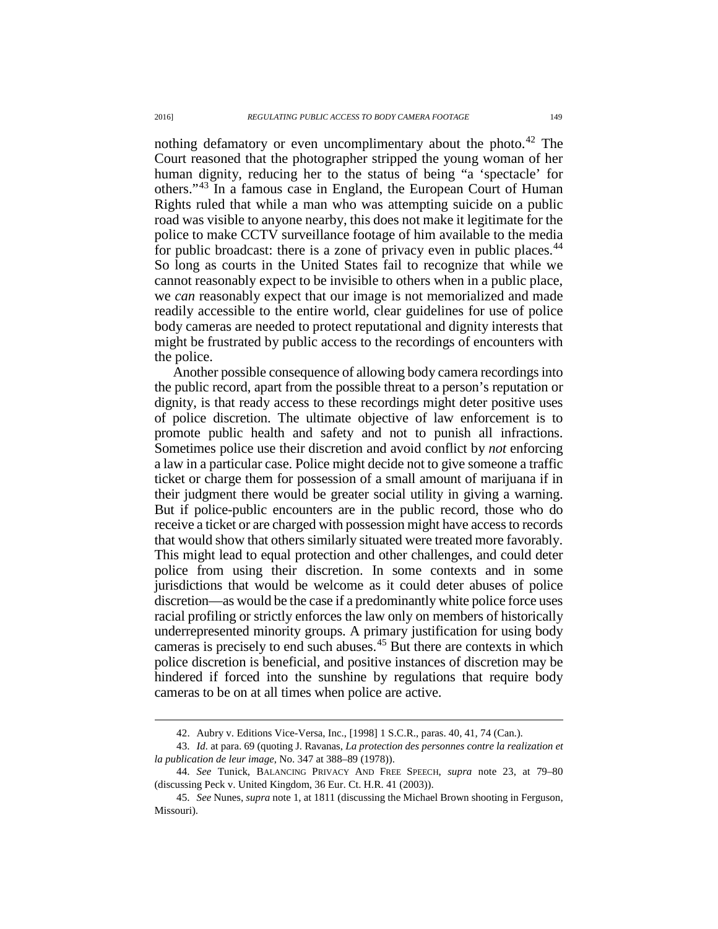nothing defamatory or even uncomplimentary about the photo.<sup>[42](#page-6-0)</sup> The Court reasoned that the photographer stripped the young woman of her human dignity, reducing her to the status of being "a 'spectacle' for others."[43](#page-6-1) In a famous case in England, the European Court of Human Rights ruled that while a man who was attempting suicide on a public road was visible to anyone nearby, this does not make it legitimate for the police to make CCTV surveillance footage of him available to the media for public broadcast: there is a zone of privacy even in public places.<sup>[44](#page-6-2)</sup> So long as courts in the United States fail to recognize that while we cannot reasonably expect to be invisible to others when in a public place, we *can* reasonably expect that our image is not memorialized and made readily accessible to the entire world, clear guidelines for use of police body cameras are needed to protect reputational and dignity interests that might be frustrated by public access to the recordings of encounters with the police.

Another possible consequence of allowing body camera recordings into the public record, apart from the possible threat to a person's reputation or dignity, is that ready access to these recordings might deter positive uses of police discretion. The ultimate objective of law enforcement is to promote public health and safety and not to punish all infractions. Sometimes police use their discretion and avoid conflict by *not* enforcing a law in a particular case. Police might decide not to give someone a traffic ticket or charge them for possession of a small amount of marijuana if in their judgment there would be greater social utility in giving a warning. But if police-public encounters are in the public record, those who do receive a ticket or are charged with possession might have access to records that would show that others similarly situated were treated more favorably. This might lead to equal protection and other challenges, and could deter police from using their discretion. In some contexts and in some jurisdictions that would be welcome as it could deter abuses of police discretion—as would be the case if a predominantly white police force uses racial profiling or strictly enforces the law only on members of historically underrepresented minority groups. A primary justification for using body cameras is precisely to end such abuses.[45](#page-6-3) But there are contexts in which police discretion is beneficial, and positive instances of discretion may be hindered if forced into the sunshine by regulations that require body cameras to be on at all times when police are active.

 <sup>42.</sup> Aubry v. Editions Vice-Versa, Inc., [1998] <sup>1</sup> S.C.R., paras. 40, 41, 74 (Can.).

<span id="page-6-1"></span><span id="page-6-0"></span><sup>43.</sup> *Id.* at para. 69 (quoting J. Ravanas, *La protection des personnes contre la realization et la publication de leur image*, No. 347 at 388–89 (1978)).

<span id="page-6-2"></span><sup>44.</sup> *See* Tunick, BALANCING PRIVACY AND FREE SPEECH, *supra* note [23,](#page-3-4) at 79–80 (discussing Peck v. United Kingdom, 36 Eur. Ct. H.R. 41 (2003)).

<span id="page-6-3"></span><sup>45.</sup> *See* Nunes, *supra* not[e 1,](#page-0-9) at 1811 (discussing the Michael Brown shooting in Ferguson, Missouri).